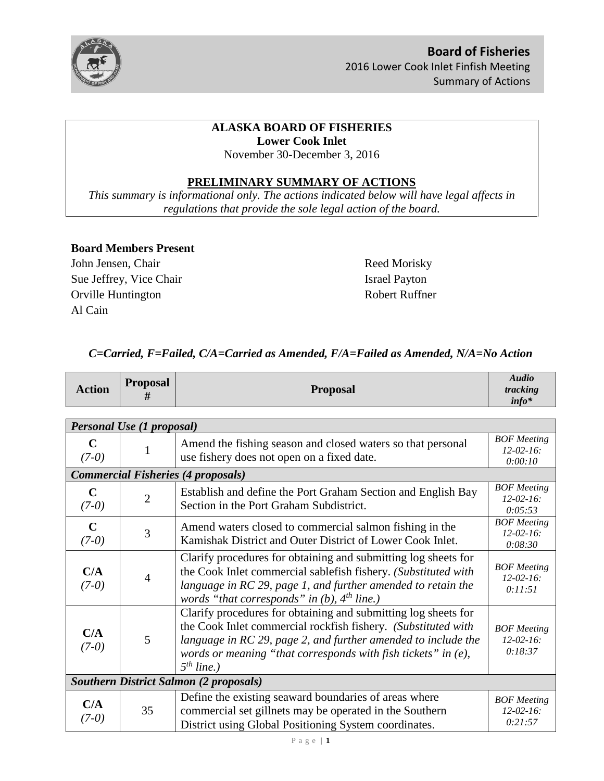

# **ALASKA BOARD OF FISHERIES Lower Cook Inlet**

November 30-December 3, 2016

# **PRELIMINARY SUMMARY OF ACTIONS**

*This summary is informational only. The actions indicated below will have legal affects in regulations that provide the sole legal action of the board.* 

### **Board Members Present**

John Jensen, Chair Reed Morisky Sue Jeffrey, Vice Chair Israel Payton Orville Huntington Robert Ruffner Al Cain

# *C=Carried, F=Failed, C/A=Carried as Amended, F/A=Failed as Amended, N/A=No Action*

| <b>Action</b>                                 | <b>Proposal</b><br>#      | <b>Proposal</b>                                                                                                                                                                                                                                                                      | Audio<br>tracking<br>$info*$                      |
|-----------------------------------------------|---------------------------|--------------------------------------------------------------------------------------------------------------------------------------------------------------------------------------------------------------------------------------------------------------------------------------|---------------------------------------------------|
|                                               |                           |                                                                                                                                                                                                                                                                                      |                                                   |
|                                               | Personal Use (1 proposal) |                                                                                                                                                                                                                                                                                      |                                                   |
| $\mathbf C$<br>$(7-0)$                        |                           | Amend the fishing season and closed waters so that personal<br>use fishery does not open on a fixed date.                                                                                                                                                                            | <b>BOF</b> Meeting<br>$12 - 02 - 16$ :<br>0:00:10 |
|                                               |                           | <b>Commercial Fisheries (4 proposals)</b>                                                                                                                                                                                                                                            |                                                   |
| $\mathbf C$<br>$(7-0)$                        | $\overline{2}$            | Establish and define the Port Graham Section and English Bay<br>Section in the Port Graham Subdistrict.                                                                                                                                                                              | <b>BOF</b> Meeting<br>$12 - 02 - 16$ :<br>0:05:53 |
| $\mathbf C$<br>$(7-0)$                        | 3                         | Amend waters closed to commercial salmon fishing in the<br>Kamishak District and Outer District of Lower Cook Inlet.                                                                                                                                                                 | <b>BOF</b> Meeting<br>$12 - 02 - 16$ :<br>0:08:30 |
| C/A<br>$(7-0)$                                | $\overline{4}$            | Clarify procedures for obtaining and submitting log sheets for<br>the Cook Inlet commercial sablefish fishery. (Substituted with<br>language in RC 29, page 1, and further amended to retain the<br>words "that corresponds" in $(b)$ , $4th$ line.)                                 | <b>BOF</b> Meeting<br>$12 - 02 - 16$ :<br>0:11:51 |
| C/A<br>$(7-0)$                                | 5                         | Clarify procedures for obtaining and submitting log sheets for<br>the Cook Inlet commercial rockfish fishery. (Substituted with<br>language in RC 29, page 2, and further amended to include the<br>words or meaning "that corresponds with fish tickets" in $(e)$ ,<br>$5th$ line.) | <b>BOF</b> Meeting<br>$12 - 02 - 16$ :<br>0:18:37 |
| <b>Southern District Salmon (2 proposals)</b> |                           |                                                                                                                                                                                                                                                                                      |                                                   |
| C/A<br>$(7-0)$                                | 35                        | Define the existing seaward boundaries of areas where<br>commercial set gillnets may be operated in the Southern<br>District using Global Positioning System coordinates.                                                                                                            | <b>BOF</b> Meeting<br>$12 - 02 - 16$ :<br>0:21:57 |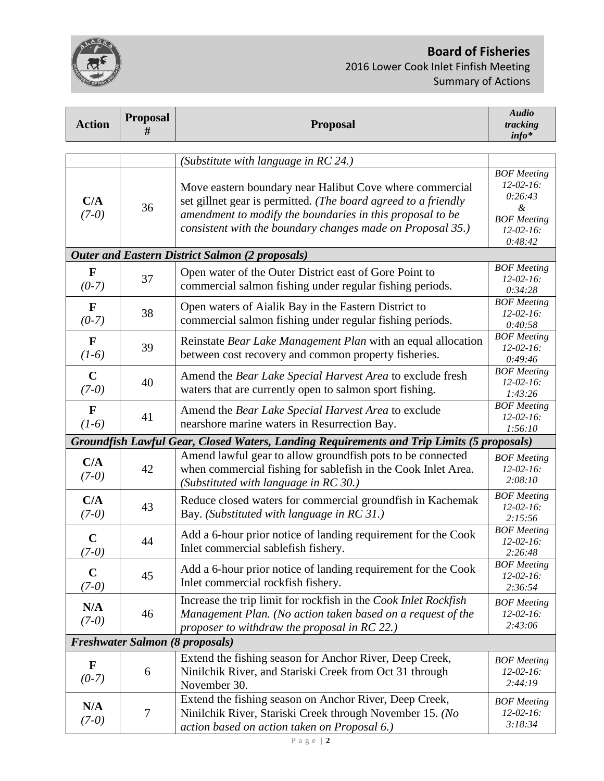# **Board of Fisheries**  2016 Lower Cook Inlet Finfish Meeting Summary of Actions

| <b>Action</b> | <b>Proposal</b><br>#                   | <b>Proposal</b>                                                                           | <b>Audio</b><br>tracking<br>$info*$    |  |
|---------------|----------------------------------------|-------------------------------------------------------------------------------------------|----------------------------------------|--|
|               |                                        |                                                                                           |                                        |  |
|               |                                        | (Substitute with language in RC 24.)                                                      |                                        |  |
|               |                                        |                                                                                           | <b>BOF</b> Meeting                     |  |
|               |                                        | Move eastern boundary near Halibut Cove where commercial                                  | $12 - 02 - 16$ :<br>0:26:43            |  |
| C/A           | 36                                     | set gillnet gear is permitted. (The board agreed to a friendly                            | &                                      |  |
| $(7-0)$       |                                        | amendment to modify the boundaries in this proposal to be                                 | <b>BOF</b> Meeting                     |  |
|               |                                        | consistent with the boundary changes made on Proposal 35.)                                | $12 - 02 - 16$ :                       |  |
|               |                                        |                                                                                           | 0:48:42                                |  |
|               |                                        | <b>Outer and Eastern District Salmon (2 proposals)</b>                                    |                                        |  |
| $\mathbf F$   |                                        | Open water of the Outer District east of Gore Point to                                    | <b>BOF</b> Meeting                     |  |
| $(0-7)$       | 37                                     | commercial salmon fishing under regular fishing periods.                                  | $12-02-16$ :                           |  |
|               |                                        |                                                                                           | 0:34:28                                |  |
| $\mathbf F$   | 38                                     | Open waters of Aialik Bay in the Eastern District to                                      | <b>BOF</b> Meeting<br>$12 - 02 - 16$ : |  |
| $(0-7)$       |                                        | commercial salmon fishing under regular fishing periods.                                  | 0:40:58                                |  |
| $\mathbf{F}$  |                                        | Reinstate Bear Lake Management Plan with an equal allocation                              | <b>BOF</b> Meeting                     |  |
| $(1-6)$       | 39                                     |                                                                                           | $12 - 02 - 16$ :                       |  |
|               |                                        | between cost recovery and common property fisheries.                                      | 0:49:46                                |  |
| $\mathbf C$   |                                        | Amend the Bear Lake Special Harvest Area to exclude fresh                                 | <b>BOF</b> Meeting<br>$12 - 02 - 16$ : |  |
| $(7-0)$       | 40                                     | waters that are currently open to salmon sport fishing.                                   | 1:43:26                                |  |
|               |                                        |                                                                                           | <b>BOF</b> Meeting                     |  |
| $\mathbf F$   | 41                                     | Amend the Bear Lake Special Harvest Area to exclude                                       | $12 - 02 - 16$ :                       |  |
| $(1-6)$       |                                        | nearshore marine waters in Resurrection Bay.                                              | 1:56:10                                |  |
|               |                                        | Groundfish Lawful Gear, Closed Waters, Landing Requirements and Trip Limits (5 proposals) |                                        |  |
| C/A           |                                        | Amend lawful gear to allow groundfish pots to be connected                                | <b>BOF</b> Meeting                     |  |
| $(7-0)$       | 42                                     | when commercial fishing for sablefish in the Cook Inlet Area.                             | $12 - 02 - 16$ :                       |  |
|               |                                        | (Substituted with language in RC 30.)                                                     | 2:08:10                                |  |
| C/A           |                                        | Reduce closed waters for commercial groundfish in Kachemak                                | <b>BOF</b> Meeting                     |  |
| $(7-0)$       | 43                                     | Bay. (Substituted with language in RC 31.)                                                | $12 - 02 - 16$ :                       |  |
|               |                                        |                                                                                           | 2:15:56<br><b>BOF</b> Meeting          |  |
| $\mathbf C$   | 44                                     | Add a 6-hour prior notice of landing requirement for the Cook                             | $12 - 02 - 16$ :                       |  |
| $(7-0)$       |                                        | Inlet commercial sablefish fishery.                                                       | 2:26:48                                |  |
|               |                                        | Add a 6-hour prior notice of landing requirement for the Cook                             | <b>BOF</b> Meeting                     |  |
| $\mathbf C$   | 45                                     | Inlet commercial rockfish fishery.                                                        | $12 - 02 - 16$ :                       |  |
| $(7-0)$       |                                        |                                                                                           | 2:36:54                                |  |
| N/A           |                                        | Increase the trip limit for rockfish in the Cook Inlet Rockfish                           | <b>BOF</b> Meeting                     |  |
| $(7-0)$       | 46                                     | Management Plan. (No action taken based on a request of the                               | $12 - 02 - 16$ :                       |  |
|               |                                        | proposer to withdraw the proposal in RC 22.)                                              | 2:43:06                                |  |
|               | <b>Freshwater Salmon (8 proposals)</b> |                                                                                           |                                        |  |
| $\mathbf F$   |                                        | Extend the fishing season for Anchor River, Deep Creek,                                   | <b>BOF</b> Meeting                     |  |
| $(0-7)$       | 6                                      | Ninilchik River, and Stariski Creek from Oct 31 through                                   | $12 - 02 - 16$ :                       |  |
|               |                                        | November 30.                                                                              | 2:44:19                                |  |
|               |                                        | Extend the fishing season on Anchor River, Deep Creek,                                    | <b>BOF</b> Meeting                     |  |
| N/A           | $\tau$                                 | Ninilchik River, Stariski Creek through November 15. (No                                  | $12 - 02 - 16$ :                       |  |
| $(7-0)$       |                                        | action based on action taken on Proposal 6.)                                              | 3:18:34                                |  |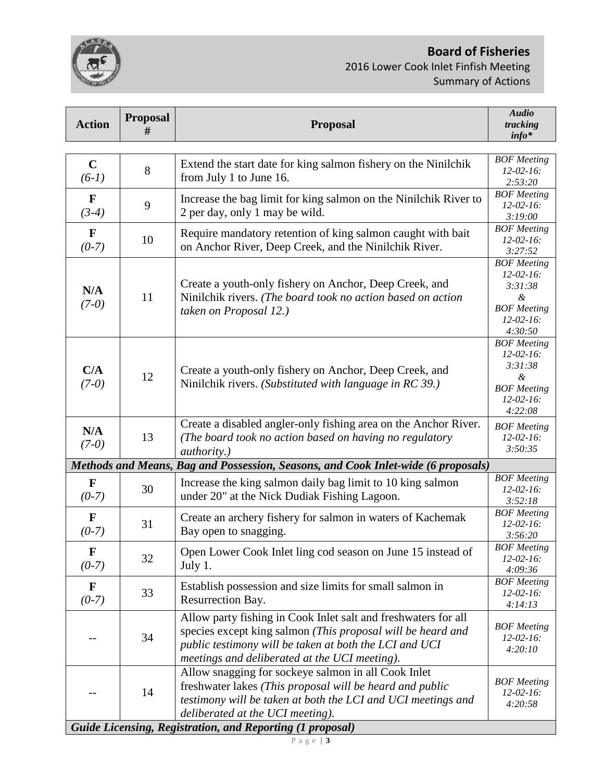**Board of Fisheries** 



2016 Lower Cook Inlet Finfish Meeting Summary of Actions

| <b>Action</b>                                                    | <b>Proposal</b><br># | <b>Proposal</b>                                                                                                                                                                                                                          | <b>Audio</b><br>tracking<br>$info*$                                                                         |
|------------------------------------------------------------------|----------------------|------------------------------------------------------------------------------------------------------------------------------------------------------------------------------------------------------------------------------------------|-------------------------------------------------------------------------------------------------------------|
|                                                                  |                      |                                                                                                                                                                                                                                          |                                                                                                             |
| $\mathbf C$<br>$(6-1)$                                           | 8                    | Extend the start date for king salmon fishery on the Ninilchik<br>from July 1 to June 16.                                                                                                                                                | <b>BOF</b> Meeting<br>$12 - 02 - 16$ :<br>2:53:20                                                           |
| $\mathbf F$<br>$(3-4)$                                           | 9                    | Increase the bag limit for king salmon on the Ninilchik River to<br>2 per day, only 1 may be wild.                                                                                                                                       | <b>BOF</b> Meeting<br>$12 - 02 - 16$ :<br>3:19:00                                                           |
| $\mathbf F$<br>$(0-7)$                                           | 10                   | Require mandatory retention of king salmon caught with bait<br>on Anchor River, Deep Creek, and the Ninilchik River.                                                                                                                     | <b>BOF</b> Meeting<br>$12 - 02 - 16$ :<br>3:27:52                                                           |
| N/A<br>$(7-0)$                                                   | 11                   | Create a youth-only fishery on Anchor, Deep Creek, and<br>Ninilchik rivers. (The board took no action based on action<br>taken on Proposal 12.)                                                                                          | <b>BOF</b> Meeting<br>$12 - 02 - 16$ :<br>3:31:38<br>&<br><b>BOF</b> Meeting<br>$12 - 02 - 16$ :<br>4:30:50 |
| C/A<br>$(7-0)$                                                   | 12                   | Create a youth-only fishery on Anchor, Deep Creek, and<br>Ninilchik rivers. (Substituted with language in RC 39.)                                                                                                                        | <b>BOF</b> Meeting<br>$12 - 02 - 16$ :<br>3:31:38<br>&<br><b>BOF</b> Meeting<br>$12-02-16$ :<br>4:22:08     |
| N/A<br>$(7-0)$                                                   | 13                   | Create a disabled angler-only fishing area on the Anchor River.<br>(The board took no action based on having no regulatory<br><i>authority.</i> )                                                                                        | <b>BOF</b> Meeting<br>$12 - 02 - 16$ :<br>3:50:35                                                           |
|                                                                  |                      | Methods and Means, Bag and Possession, Seasons, and Cook Inlet-wide (6 proposals)                                                                                                                                                        |                                                                                                             |
| $\mathbf F$<br>$(0-7)$                                           | 30                   | Increase the king salmon daily bag limit to 10 king salmon<br>under 20" at the Nick Dudiak Fishing Lagoon.                                                                                                                               | <b>BOF</b> Meeting<br>$12 - 02 - 16$ :<br>3:52:18                                                           |
| $\mathbf F$<br>$(0-7)$                                           | 31                   | Create an archery fishery for salmon in waters of Kachemak<br>Bay open to snagging.                                                                                                                                                      | <b>BOF</b> Meeting<br>$12 - 02 - 16$ :<br>3:56:20                                                           |
| F<br>$(0-7)$                                                     | 32                   | Open Lower Cook Inlet ling cod season on June 15 instead of<br>July 1.                                                                                                                                                                   | <b>BOF</b> Meeting<br>$12 - 02 - 16$ :<br>4:09:36                                                           |
| F<br>$(0-7)$                                                     | 33                   | Establish possession and size limits for small salmon in<br>Resurrection Bay.                                                                                                                                                            | <b>BOF</b> Meeting<br>$12 - 02 - 16$ :<br>4:14:13                                                           |
|                                                                  | 34                   | Allow party fishing in Cook Inlet salt and freshwaters for all<br>species except king salmon (This proposal will be heard and<br>public testimony will be taken at both the LCI and UCI<br>meetings and deliberated at the UCI meeting). | <b>BOF</b> Meeting<br>$12 - 02 - 16$ :<br>4:20:10                                                           |
|                                                                  | 14                   | Allow snagging for sockeye salmon in all Cook Inlet<br>freshwater lakes (This proposal will be heard and public<br>testimony will be taken at both the LCI and UCI meetings and<br>deliberated at the UCI meeting).                      | <b>BOF</b> Meeting<br>$12 - 02 - 16$ :<br>4:20:58                                                           |
| <b>Guide Licensing, Registration, and Reporting (1 proposal)</b> |                      |                                                                                                                                                                                                                                          |                                                                                                             |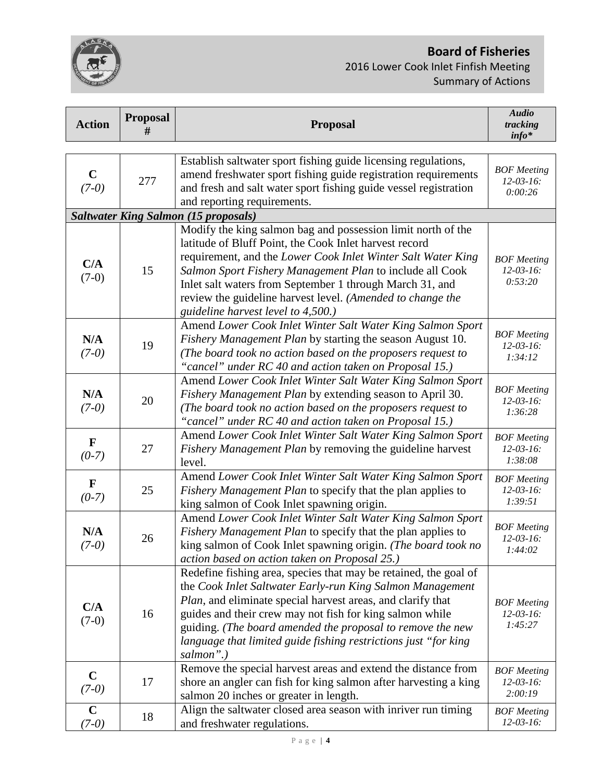# **Board of Fisheries**

2016 Lower Cook Inlet Finfish Meeting Summary of Actions

| <b>Action</b>           | <b>Proposal</b><br># | <b>Proposal</b>                                                                                                                                                                                                                                                                                                                                                                                        | <b>Audio</b><br>tracking<br>$info*$               |
|-------------------------|----------------------|--------------------------------------------------------------------------------------------------------------------------------------------------------------------------------------------------------------------------------------------------------------------------------------------------------------------------------------------------------------------------------------------------------|---------------------------------------------------|
|                         |                      |                                                                                                                                                                                                                                                                                                                                                                                                        |                                                   |
| $\mathbf C$<br>$(7-0)$  | 277                  | Establish saltwater sport fishing guide licensing regulations,<br>amend freshwater sport fishing guide registration requirements<br>and fresh and salt water sport fishing guide vessel registration<br>and reporting requirements.                                                                                                                                                                    | <b>BOF</b> Meeting<br>$12 - 03 - 16$ :<br>0:00:26 |
|                         |                      | <b>Saltwater King Salmon (15 proposals)</b>                                                                                                                                                                                                                                                                                                                                                            |                                                   |
|                         |                      | Modify the king salmon bag and possession limit north of the                                                                                                                                                                                                                                                                                                                                           |                                                   |
| C/A<br>$(7-0)$          | 15                   | latitude of Bluff Point, the Cook Inlet harvest record<br>requirement, and the Lower Cook Inlet Winter Salt Water King<br>Salmon Sport Fishery Management Plan to include all Cook<br>Inlet salt waters from September 1 through March 31, and<br>review the guideline harvest level. (Amended to change the<br>guideline harvest level to 4,500.)                                                     | <b>BOF</b> Meeting<br>$12 - 03 - 16$ :<br>0:53:20 |
|                         |                      | Amend Lower Cook Inlet Winter Salt Water King Salmon Sport                                                                                                                                                                                                                                                                                                                                             |                                                   |
| N/A<br>$(7-0)$          | 19                   | Fishery Management Plan by starting the season August 10.<br>(The board took no action based on the proposers request to<br>"cancel" under RC 40 and action taken on Proposal 15.)                                                                                                                                                                                                                     | <b>BOF</b> Meeting<br>$12 - 03 - 16$ :<br>1:34:12 |
| N/A<br>$(7-0)$          | 20                   | Amend Lower Cook Inlet Winter Salt Water King Salmon Sport<br>Fishery Management Plan by extending season to April 30.<br>(The board took no action based on the proposers request to<br>"cancel" under RC 40 and action taken on Proposal 15.)                                                                                                                                                        | <b>BOF</b> Meeting<br>$12 - 03 - 16$ :<br>1:36:28 |
| $\mathbf{F}$<br>$(0-7)$ | 27                   | Amend Lower Cook Inlet Winter Salt Water King Salmon Sport<br>Fishery Management Plan by removing the guideline harvest<br>level.                                                                                                                                                                                                                                                                      | <b>BOF</b> Meeting<br>$12 - 03 - 16$ :<br>1:38:08 |
| $\mathbf F$<br>$(0-7)$  | 25                   | Amend Lower Cook Inlet Winter Salt Water King Salmon Sport<br>Fishery Management Plan to specify that the plan applies to<br>king salmon of Cook Inlet spawning origin.                                                                                                                                                                                                                                | <b>BOF</b> Meeting<br>$12 - 03 - 16$ :<br>1:39:51 |
| N/A<br>$(7-0)$          | 26                   | Amend Lower Cook Inlet Winter Salt Water King Salmon Sport<br>Fishery Management Plan to specify that the plan applies to<br>king salmon of Cook Inlet spawning origin. (The board took no<br>action based on action taken on Proposal 25.)                                                                                                                                                            | <b>BOF</b> Meeting<br>$12 - 03 - 16$ :<br>1:44:02 |
| C/A<br>$(7-0)$          | 16                   | Redefine fishing area, species that may be retained, the goal of<br>the Cook Inlet Saltwater Early-run King Salmon Management<br>Plan, and eliminate special harvest areas, and clarify that<br>guides and their crew may not fish for king salmon while<br>guiding. (The board amended the proposal to remove the new<br>language that limited guide fishing restrictions just "for king<br>salmon".) | <b>BOF</b> Meeting<br>$12 - 03 - 16$ :<br>1:45:27 |
| $\mathbf C$<br>$(7-0)$  | 17                   | Remove the special harvest areas and extend the distance from<br>shore an angler can fish for king salmon after harvesting a king<br>salmon 20 inches or greater in length.                                                                                                                                                                                                                            | <b>BOF</b> Meeting<br>$12 - 03 - 16$ :<br>2:00:19 |
| $\mathbf C$<br>$(7-0)$  | 18                   | Align the saltwater closed area season with inriver run timing<br>and freshwater regulations.                                                                                                                                                                                                                                                                                                          | <b>BOF</b> Meeting<br>$12 - 03 - 16$ :            |